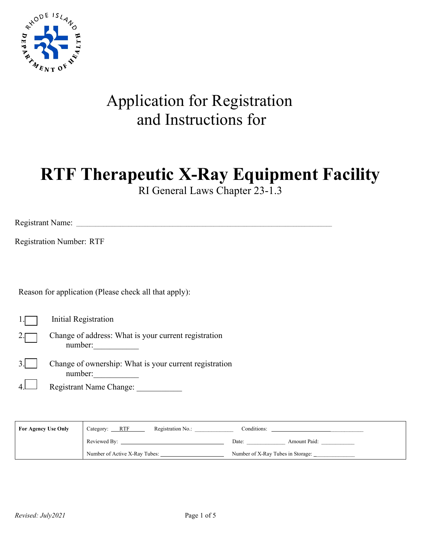

## Application for Registration and Instructions for

# **RTF Therapeutic X-Ray Equipment Facility**

RI General Laws Chapter 23-1.3

Registrant Name: \_\_\_\_\_\_\_\_\_\_\_\_\_\_\_\_\_\_\_\_\_\_\_\_\_\_\_\_\_\_\_\_\_\_\_\_\_\_\_\_\_\_\_\_\_\_\_\_\_\_\_\_\_\_\_\_\_\_\_\_\_\_\_\_\_\_\_\_\_\_\_\_\_\_\_\_\_\_\_\_\_\_\_\_\_\_\_\_\_\_\_\_\_

Registration Number: RTF

Reason for application (Please check all that apply):

1. Initial Registration

2. Change of address: What is your current registration number:\_\_\_\_\_\_\_\_\_\_\_

3. Change of ownership: What is your current registration number:

4. Registrant Name Change:

| <b>For Agency Use Only</b> | Category: ____RTF<br>Registration No.: | Conditions:                       |
|----------------------------|----------------------------------------|-----------------------------------|
|                            | Reviewed By:                           | Amount Paid:<br>Date:             |
|                            | Number of Active X-Ray Tubes:          | Number of X-Ray Tubes in Storage: |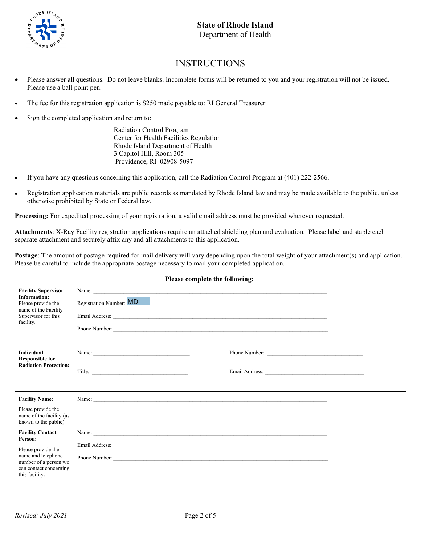

#### INSTRUCTIONS

- Please answer all questions. Do not leave blanks. Incomplete forms will be returned to you and your registration will not be issued. Please use a ball point pen.
- The fee for this registration application is \$250 made payable to: RI General Treasurer
- Sign the completed application and return to:

Radiation Control Program Center for Health Facilities Regulation Rhode Island Department of Health 3 Capitol Hill, Room 305 Providence, RI 02908-5097

- If you have any questions concerning this application, call the Radiation Control Program at (401) 222-2566.
- Registration application materials are public records as mandated by Rhode Island law and may be made available to the public, unless otherwise prohibited by State or Federal law.

**Processing:** For expedited processing of your registration, a valid email address must be provided wherever requested.

**Attachments**: X-Ray Facility registration applications require an attached shielding plan and evaluation. Please label and staple each separate attachment and securely affix any and all attachments to this application.

**Postage**: The amount of postage required for mail delivery will vary depending upon the total weight of your attachment(s) and application. Please be careful to include the appropriate postage necessary to mail your completed application.

| <b>Facility Supervisor</b><br><b>Information:</b><br>Please provide the<br>name of the Facility<br>Supervisor for this<br>facility. | Registration Number: MD<br>Email Address:<br><u> 1980 - Andrea Amerikaanse kommunister (</u><br>Phone Number: |  |  |
|-------------------------------------------------------------------------------------------------------------------------------------|---------------------------------------------------------------------------------------------------------------|--|--|
| Individual<br><b>Responsible for</b><br><b>Radiation Protection:</b>                                                                | Name:<br>Phone Number:                                                                                        |  |  |
|                                                                                                                                     | Title:<br>Email Address:                                                                                      |  |  |

| <b>Facility Name:</b>                                                   | Name:                           |  |
|-------------------------------------------------------------------------|---------------------------------|--|
| Please provide the<br>name of the facility (as<br>known to the public). |                                 |  |
| <b>Facility Contact</b><br>Person:                                      | Name:                           |  |
| Please provide the<br>name and telephone<br>number of a person we       | Email Address:<br>Phone Number: |  |
| can contact concerning<br>this facility.                                |                                 |  |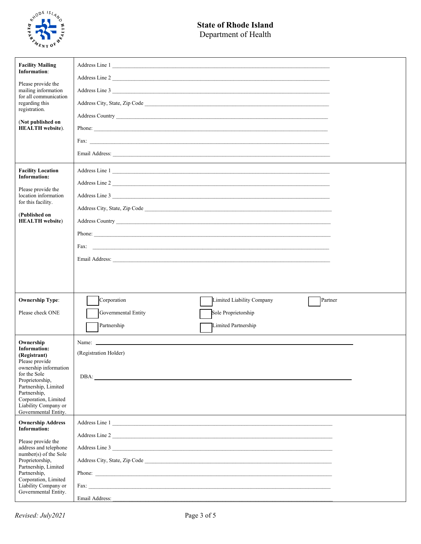

#### **State of Rhode Island** Department of Health

| <b>Facility Mailing</b><br>Information:<br>Please provide the<br>mailing information<br>for all communication<br>regarding this<br>registration.<br>(Not published on<br><b>HEALTH</b> website).                                               | Address Line 1<br>Address Line 2<br>Address Line 3<br>Fax:                       |  |
|------------------------------------------------------------------------------------------------------------------------------------------------------------------------------------------------------------------------------------------------|----------------------------------------------------------------------------------|--|
| <b>Facility Location</b><br><b>Information:</b><br>Please provide the<br>location information<br>for this facility.<br>(Published on<br><b>HEALTH</b> website)                                                                                 | Address Line 1<br>Address Line 2<br>Address Line 3<br>Phone:                     |  |
|                                                                                                                                                                                                                                                |                                                                                  |  |
| <b>Ownership Type:</b>                                                                                                                                                                                                                         | Partner<br>Corporation<br>Limited Liability Company                              |  |
| Please check ONE                                                                                                                                                                                                                               | Governmental Entity<br>Sole Proprietorship<br>Partnership<br>Limited Partnership |  |
| Ownership<br><b>Information:</b><br>(Registrant)<br>Please provide<br>ownership information<br>for the Sole<br>Proprietorship,<br>Partnership, Limited<br>Partnership,<br>Corporation, Limited<br>Liability Company or<br>Governmental Entity. | (Registration Holder)                                                            |  |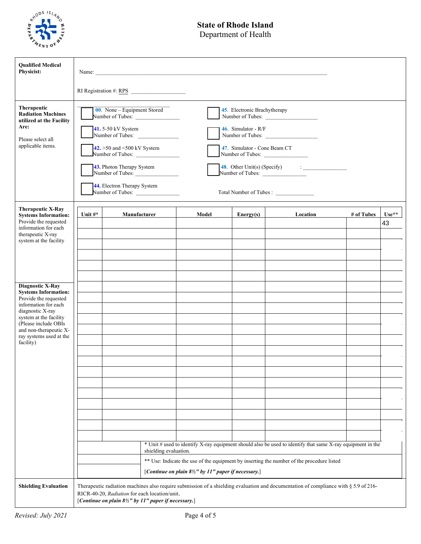

### **State of Rhode Island**

Department of Health

| <b>Qualified Medical</b><br>Physicist:                                                                                                                                                                                                          |                                                                                                                                                                                                                                                                              |                                                                                                                  |                       |                                                    |                                                                                       |                                                                                                                                                                                                         |            |               |
|-------------------------------------------------------------------------------------------------------------------------------------------------------------------------------------------------------------------------------------------------|------------------------------------------------------------------------------------------------------------------------------------------------------------------------------------------------------------------------------------------------------------------------------|------------------------------------------------------------------------------------------------------------------|-----------------------|----------------------------------------------------|---------------------------------------------------------------------------------------|---------------------------------------------------------------------------------------------------------------------------------------------------------------------------------------------------------|------------|---------------|
|                                                                                                                                                                                                                                                 |                                                                                                                                                                                                                                                                              |                                                                                                                  |                       |                                                    |                                                                                       |                                                                                                                                                                                                         |            |               |
| Therapeutic<br><b>Radiation Machines</b><br>utilized at the Facility<br>Are:<br>Please select all<br>applicable items.                                                                                                                          | RI Registration #: RPS<br>$00.$ None – Equipment Stored<br>Number of Tubes:<br>41.5-50 kV System<br>Number of Tubes:<br>42. > 50 and < 500 kV System<br>Number of Tubes:<br>43. Photon Therapy System<br>Number of Tubes:<br>44. Electron Therapy System<br>Number of Tubes: |                                                                                                                  |                       |                                                    | 45. Electronic Brachytherapy<br>46. Simulator - $R/F$<br>47. Simulator - Cone Beam CT | Number of Tubes:<br>Number of Tubes:<br>Number of Tubes:<br>48. Other Unit(s) (Specify) $\qquad \qquad : \qquad \qquad$<br>Number of Tubes:                                                             |            |               |
| <b>Therapeutic X-Ray</b><br><b>Systems Information:</b><br>Provide the requested<br>information for each<br>therapeutic X-ray<br>system at the facility                                                                                         | Unit $\#^*$                                                                                                                                                                                                                                                                  |                                                                                                                  | Manufacturer          | Model                                              | Energy(s)                                                                             | Location                                                                                                                                                                                                | # of Tubes | $Use**$<br>43 |
| <b>Diagnostic X-Ray</b><br><b>Systems Information:</b><br>Provide the requested<br>information for each<br>diagnostic X-ray<br>system at the facility<br>(Please include OBIs<br>and non-therapeutic X-<br>ray systems used at the<br>facility) |                                                                                                                                                                                                                                                                              |                                                                                                                  |                       |                                                    |                                                                                       |                                                                                                                                                                                                         |            |               |
|                                                                                                                                                                                                                                                 |                                                                                                                                                                                                                                                                              |                                                                                                                  | shielding evaluation. |                                                    |                                                                                       | * Unit # used to identify X-ray equipment should also be used to identify that same X-ray equipment in the<br>** Use: Indicate the use of the equipment by inserting the number of the procedure listed |            |               |
| <b>Shielding Evaluation</b>                                                                                                                                                                                                                     |                                                                                                                                                                                                                                                                              | RICR-40-20, Radiation for each location/unit.<br>[Continue on plain $8\frac{1}{2}$ " by 11" paper if necessary.] |                       | [Continue on plain 8½" by 11" paper if necessary.] |                                                                                       | Therapeutic radiation machines also require submission of a shielding evaluation and documentation of compliance with § 5.9 of 216-                                                                     |            |               |